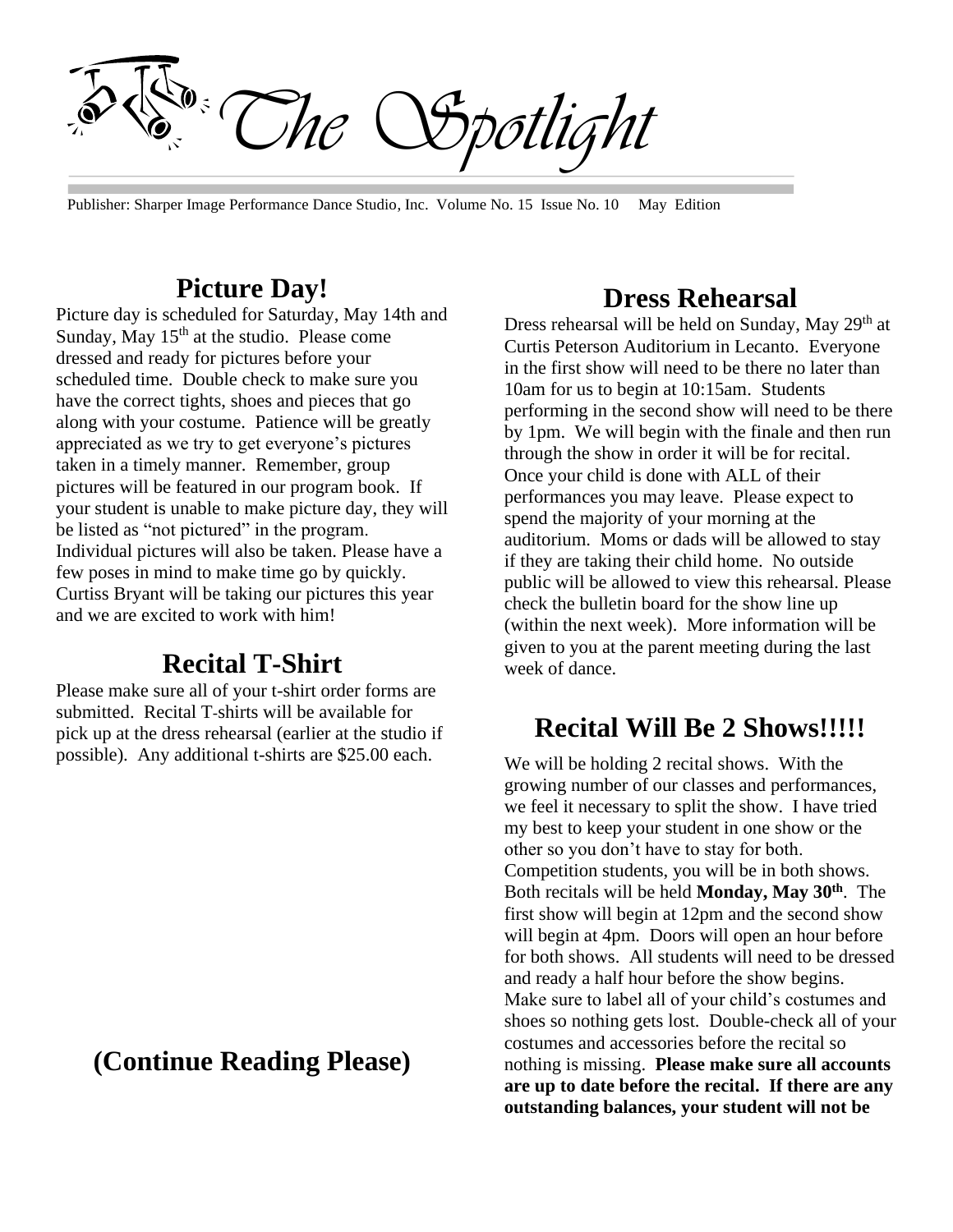*The Spotlight*

Publisher: Sharper Image Performance Dance Studio, Inc. Volume No. 15 Issue No. 10 May Edition

#### **Picture Day!**

Picture day is scheduled for Saturday, May 14th and Sunday, May  $15<sup>th</sup>$  at the studio. Please come dressed and ready for pictures before your scheduled time. Double check to make sure you have the correct tights, shoes and pieces that go along with your costume. Patience will be greatly appreciated as we try to get everyone's pictures taken in a timely manner. Remember, group pictures will be featured in our program book. If your student is unable to make picture day, they will be listed as "not pictured" in the program. Individual pictures will also be taken. Please have a few poses in mind to make time go by quickly. Curtiss Bryant will be taking our pictures this year and we are excited to work with him!

### **Recital T-Shirt**

Please make sure all of your t-shirt order forms are submitted. Recital T-shirts will be available for pick up at the dress rehearsal (earlier at the studio if possible). Any additional t-shirts are \$25.00 each.

### **(Continue Reading Please)**

#### **Dress Rehearsal**

Dress rehearsal will be held on Sunday, May 29<sup>th</sup> at Curtis Peterson Auditorium in Lecanto. Everyone in the first show will need to be there no later than 10am for us to begin at 10:15am. Students performing in the second show will need to be there by 1pm. We will begin with the finale and then run through the show in order it will be for recital. Once your child is done with ALL of their performances you may leave. Please expect to spend the majority of your morning at the auditorium. Moms or dads will be allowed to stay if they are taking their child home. No outside public will be allowed to view this rehearsal. Please check the bulletin board for the show line up (within the next week). More information will be given to you at the parent meeting during the last week of dance.

### **Recital Will Be 2 Shows!!!!!**

We will be holding 2 recital shows. With the growing number of our classes and performances, we feel it necessary to split the show. I have tried my best to keep your student in one show or the other so you don't have to stay for both. Competition students, you will be in both shows. Both recitals will be held **Monday, May 30th**. The first show will begin at 12pm and the second show will begin at 4pm. Doors will open an hour before for both shows. All students will need to be dressed and ready a half hour before the show begins. Make sure to label all of your child's costumes and shoes so nothing gets lost. Double-check all of your costumes and accessories before the recital so nothing is missing. **Please make sure all accounts are up to date before the recital. If there are any outstanding balances, your student will not be**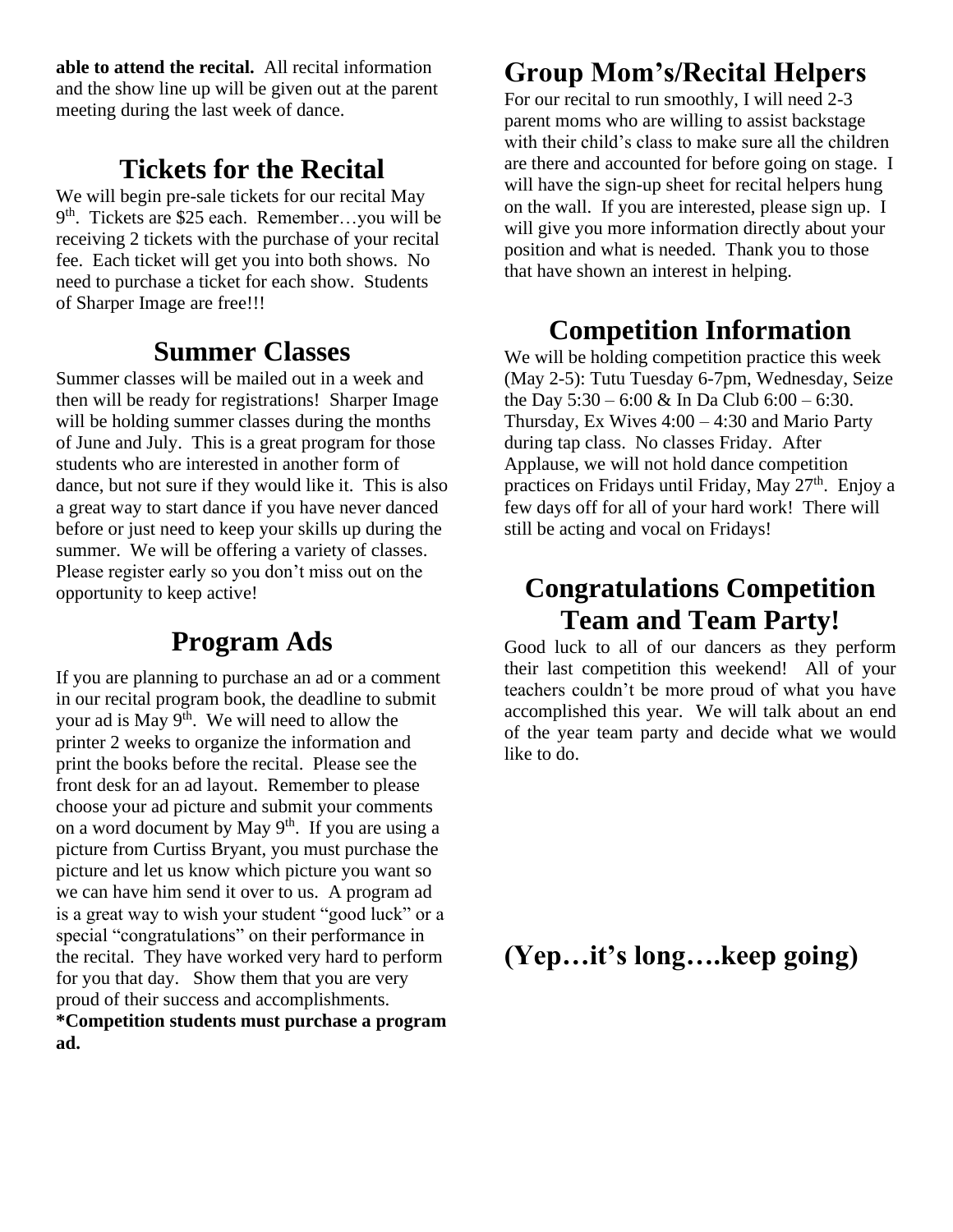**able to attend the recital.** All recital information and the show line up will be given out at the parent meeting during the last week of dance.

## **Tickets for the Recital**

We will begin pre-sale tickets for our recital May 9<sup>th</sup>. Tickets are \$25 each. Remember...you will be receiving 2 tickets with the purchase of your recital fee. Each ticket will get you into both shows. No need to purchase a ticket for each show. Students of Sharper Image are free!!!

### **Summer Classes**

Summer classes will be mailed out in a week and then will be ready for registrations! Sharper Image will be holding summer classes during the months of June and July. This is a great program for those students who are interested in another form of dance, but not sure if they would like it. This is also a great way to start dance if you have never danced before or just need to keep your skills up during the summer. We will be offering a variety of classes. Please register early so you don't miss out on the opportunity to keep active!

## **Program Ads**

If you are planning to purchase an ad or a comment in our recital program book, the deadline to submit your ad is May  $9<sup>th</sup>$ . We will need to allow the printer 2 weeks to organize the information and print the books before the recital. Please see the front desk for an ad layout. Remember to please choose your ad picture and submit your comments on a word document by May  $9<sup>th</sup>$ . If you are using a picture from Curtiss Bryant, you must purchase the picture and let us know which picture you want so we can have him send it over to us. A program ad is a great way to wish your student "good luck" or a special "congratulations" on their performance in the recital. They have worked very hard to perform for you that day. Show them that you are very proud of their success and accomplishments. **\*Competition students must purchase a program ad.**

## **Group Mom's/Recital Helpers**

For our recital to run smoothly, I will need 2-3 parent moms who are willing to assist backstage with their child's class to make sure all the children are there and accounted for before going on stage. I will have the sign-up sheet for recital helpers hung on the wall. If you are interested, please sign up. I will give you more information directly about your position and what is needed. Thank you to those that have shown an interest in helping.

## **Competition Information**

We will be holding competition practice this week (May 2-5): Tutu Tuesday 6-7pm, Wednesday, Seize the Day  $5:30 - 6:00 \& \text{In Da Club } 6:00 - 6:30.$ Thursday, Ex Wives 4:00 – 4:30 and Mario Party during tap class. No classes Friday. After Applause, we will not hold dance competition practices on Fridays until Friday, May  $27<sup>th</sup>$ . Enjoy a few days off for all of your hard work! There will still be acting and vocal on Fridays!

## **Congratulations Competition Team and Team Party!**

Good luck to all of our dancers as they perform their last competition this weekend! All of your teachers couldn't be more proud of what you have accomplished this year. We will talk about an end of the year team party and decide what we would like to do.

**(Yep…it's long….keep going)**